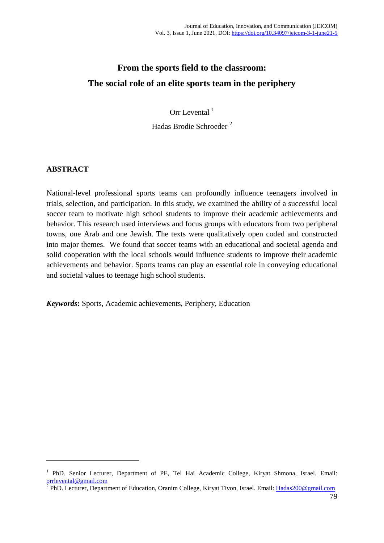# **From the sports field to the classroom: The social role of an elite sports team in the periphery**

Orr Levental  $<sup>1</sup>$ </sup>

Hadas Brodie Schroeder <sup>2</sup>

## **ABSTRACT**

1

National-level professional sports teams can profoundly influence teenagers involved in trials, selection, and participation. In this study, we examined the ability of a successful local soccer team to motivate high school students to improve their academic achievements and behavior. This research used interviews and focus groups with educators from two peripheral towns, one Arab and one Jewish. The texts were qualitatively open coded and constructed into major themes. We found that soccer teams with an educational and societal agenda and solid cooperation with the local schools would influence students to improve their academic achievements and behavior. Sports teams can play an essential role in conveying educational and societal values to teenage high school students.

*Keywords***:** Sports, Academic achievements, Periphery, Education

<sup>&</sup>lt;sup>1</sup> PhD. Senior Lecturer, Department of PE, Tel Hai Academic College, Kiryat Shmona, Israel. Email:

[orrlevental@gmail.com](mailto:orrlevental@gmail.com)<br><sup>2</sup> PhD. Lecturer, Department of Education, Oranim College, Kiryat Tivon, Israel. Email: <u>Hadas200@gmail.com</u>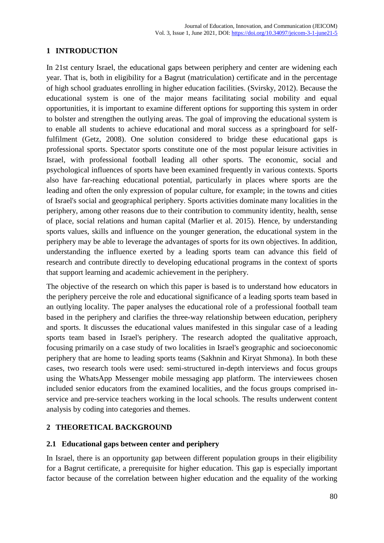#### **1 INTRODUCTION**

In 21st century Israel, the educational gaps between periphery and center are widening each year. That is, both in eligibility for a Bagrut (matriculation) certificate and in the percentage of high school graduates enrolling in higher education facilities. (Svirsky, 2012). Because the educational system is one of the major means facilitating social mobility and equal opportunities, it is important to examine different options for supporting this system in order to bolster and strengthen the outlying areas. The goal of improving the educational system is to enable all students to achieve educational and moral success as a springboard for selffulfilment (Getz, 2008). One solution considered to bridge these educational gaps is professional sports. Spectator sports constitute one of the most popular leisure activities in Israel, with professional football leading all other sports. The economic, social and psychological influences of sports have been examined frequently in various contexts. Sports also have far-reaching educational potential, particularly in places where sports are the leading and often the only expression of popular culture, for example; in the towns and cities of Israel's social and geographical periphery. Sports activities dominate many localities in the periphery, among other reasons due to their contribution to community identity, health, sense of place, social relations and human capital (Marlier et al. 2015). Hence, by understanding sports values, skills and influence on the younger generation, the educational system in the periphery may be able to leverage the advantages of sports for its own objectives. In addition, understanding the influence exerted by a leading sports team can advance this field of research and contribute directly to developing educational programs in the context of sports that support learning and academic achievement in the periphery.

The objective of the research on which this paper is based is to understand how educators in the periphery perceive the role and educational significance of a leading sports team based in an outlying locality. The paper analyses the educational role of a professional football team based in the periphery and clarifies the three-way relationship between education, periphery and sports. It discusses the educational values manifested in this singular case of a leading sports team based in Israel's periphery. The research adopted the qualitative approach, focusing primarily on a case study of two localities in Israel's geographic and socioeconomic periphery that are home to leading sports teams (Sakhnin and Kiryat Shmona). In both these cases, two research tools were used: semi-structured in-depth interviews and focus groups using the WhatsApp Messenger mobile messaging app platform. The interviewees chosen included senior educators from the examined localities, and the focus groups comprised inservice and pre-service teachers working in the local schools. The results underwent content analysis by coding into categories and themes.

## **2 THEORETICAL BACKGROUND**

#### **2.1 Educational gaps between center and periphery**

In Israel, there is an opportunity gap between different population groups in their eligibility for a Bagrut certificate, a prerequisite for higher education. This gap is especially important factor because of the correlation between higher education and the equality of the working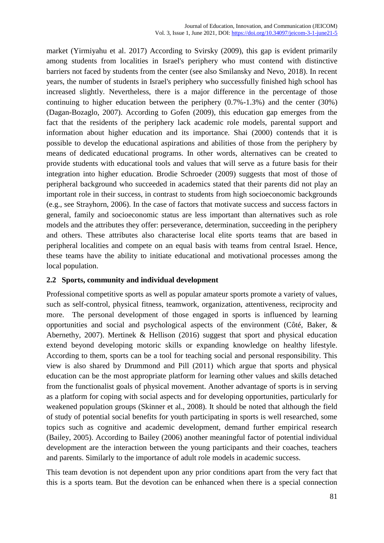market (Yirmiyahu et al. 2017) According to Svirsky (2009), this gap is evident primarily among students from localities in Israel's periphery who must contend with distinctive barriers not faced by students from the center (see also Smilansky and Nevo, 2018). In recent years, the number of students in Israel's periphery who successfully finished high school has increased slightly. Nevertheless, there is a major difference in the percentage of those continuing to higher education between the periphery (0.7%-1.3%) and the center (30%) (Dagan-Bozaglo, 2007). According to Gofen (2009), this education gap emerges from the fact that the residents of the periphery lack academic role models, parental support and information about higher education and its importance. Shai (2000) contends that it is possible to develop the educational aspirations and abilities of those from the periphery by means of dedicated educational programs. In other words, alternatives can be created to provide students with educational tools and values that will serve as a future basis for their integration into higher education. Brodie Schroeder (2009) suggests that most of those of peripheral background who succeeded in academics stated that their parents did not play an important role in their success, in contrast to students from high socioeconomic backgrounds (e.g., see Strayhorn, 2006). In the case of factors that motivate success and success factors in general, family and socioeconomic status are less important than alternatives such as role models and the attributes they offer: perseverance, determination, succeeding in the periphery and others. These attributes also characterise local elite sports teams that are based in peripheral localities and compete on an equal basis with teams from central Israel. Hence, these teams have the ability to initiate educational and motivational processes among the local population.

#### **2.2 Sports, community and individual development**

Professional competitive sports as well as popular amateur sports promote a variety of values, such as self-control, physical fitness, teamwork, organization, attentiveness, reciprocity and more. The personal development of those engaged in sports is influenced by learning opportunities and social and psychological aspects of the environment (Côté, Baker, & Abernethy, 2007). Mertinek & Hellison (2016) suggest that sport and physical education extend beyond developing motoric skills or expanding knowledge on healthy lifestyle. According to them, sports can be a tool for teaching social and personal responsibility. This view is also shared by Drummond and Pill (2011) which argue that sports and physical education can be the most appropriate platform for learning other values and skills detached from the functionalist goals of physical movement. Another advantage of sports is in serving as a platform for coping with social aspects and for developing opportunities, particularly for weakened population groups (Skinner et al., 2008). It should be noted that although the field of study of potential social benefits for youth participating in sports is well researched, some topics such as cognitive and academic development, demand further empirical research (Bailey, 2005). According to Bailey (2006) another meaningful factor of potential individual development are the interaction between the young participants and their coaches, teachers and parents. Similarly to the importance of adult role models in academic success.

This team devotion is not dependent upon any prior conditions apart from the very fact that this is a sports team. But the devotion can be enhanced when there is a special connection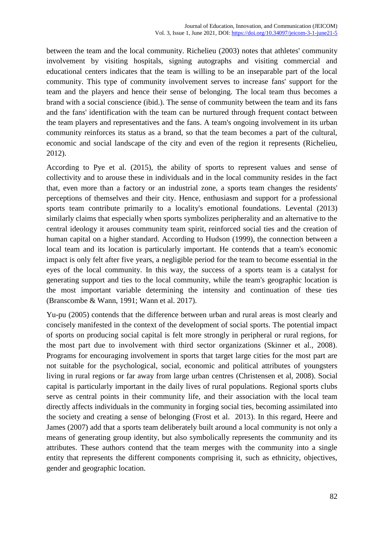between the team and the local community. Richelieu (2003) notes that athletes' community involvement by visiting hospitals, signing autographs and visiting commercial and educational centers indicates that the team is willing to be an inseparable part of the local community. This type of community involvement serves to increase fans' support for the team and the players and hence their sense of belonging. The local team thus becomes a brand with a social conscience (ibid.). The sense of community between the team and its fans and the fans' identification with the team can be nurtured through frequent contact between the team players and representatives and the fans. A team's ongoing involvement in its urban community reinforces its status as a brand, so that the team becomes a part of the cultural, economic and social landscape of the city and even of the region it represents (Richelieu, 2012).

According to Pye et al. (2015), the ability of sports to represent values and sense of collectivity and to arouse these in individuals and in the local community resides in the fact that, even more than a factory or an industrial zone, a sports team changes the residents' perceptions of themselves and their city. Hence, enthusiasm and support for a professional sports team contribute primarily to a locality's emotional foundations. Levental (2013) similarly claims that especially when sports symbolizes peripherality and an alternative to the central ideology it arouses community team spirit, reinforced social ties and the creation of human capital on a higher standard. According to Hudson (1999), the connection between a local team and its location is particularly important. He contends that a team's economic impact is only felt after five years, a negligible period for the team to become essential in the eyes of the local community. In this way, the success of a sports team is a catalyst for generating support and ties to the local community, while the team's geographic location is the most important variable determining the intensity and continuation of these ties (Branscombe & Wann, 1991; Wann et al. 2017).

Yu-pu (2005) contends that the difference between urban and rural areas is most clearly and concisely manifested in the context of the development of social sports. The potential impact of sports on producing social capital is felt more strongly in peripheral or rural regions, for the most part due to involvement with third sector organizations (Skinner et al., 2008). Programs for encouraging involvement in sports that target large cities for the most part are not suitable for the psychological, social, economic and political attributes of youngsters living in rural regions or far away from large urban centres (Christensen et al, 2008). Social capital is particularly important in the daily lives of rural populations. Regional sports clubs serve as central points in their community life, and their association with the local team directly affects individuals in the community in forging social ties, becoming assimilated into the society and creating a sense of belonging (Frost et al. 2013). In this regard, Heere and James (2007) add that a sports team deliberately built around a local community is not only a means of generating group identity, but also symbolically represents the community and its attributes. These authors contend that the team merges with the community into a single entity that represents the different components comprising it, such as ethnicity, objectives, gender and geographic location.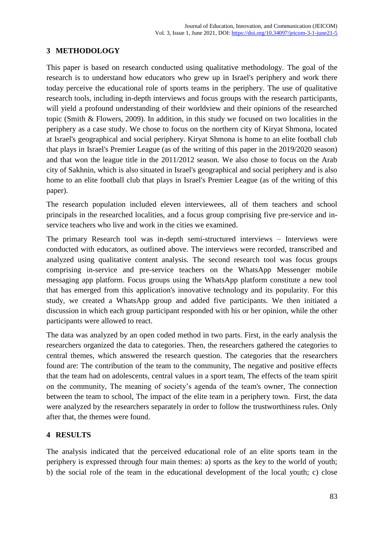## **3 METHODOLOGY**

This paper is based on research conducted using qualitative methodology. The goal of the research is to understand how educators who grew up in Israel's periphery and work there today perceive the educational role of sports teams in the periphery. The use of qualitative research tools, including in-depth interviews and focus groups with the research participants, will yield a profound understanding of their worldview and their opinions of the researched topic (Smith & Flowers, 2009). In addition, in this study we focused on two localities in the periphery as a case study. We chose to focus on the northern city of Kiryat Shmona, located at Israel's geographical and social periphery. Kiryat Shmona is home to an elite football club that plays in Israel's Premier League (as of the writing of this paper in the 2019/2020 season) and that won the league title in the 2011/2012 season. We also chose to focus on the Arab city of Sakhnin, which is also situated in Israel's geographical and social periphery and is also home to an elite football club that plays in Israel's Premier League (as of the writing of this paper).

The research population included eleven interviewees, all of them teachers and school principals in the researched localities, and a focus group comprising five pre-service and inservice teachers who live and work in the cities we examined.

The primary Research tool was in-depth semi-structured interviews – Interviews were conducted with educators, as outlined above. The interviews were recorded, transcribed and analyzed using qualitative content analysis. The second research tool was focus groups comprising in-service and pre-service teachers on the WhatsApp Messenger mobile messaging app platform. Focus groups using the WhatsApp platform constitute a new tool that has emerged from this application's innovative technology and its popularity. For this study, we created a WhatsApp group and added five participants. We then initiated a discussion in which each group participant responded with his or her opinion, while the other participants were allowed to react.

The data was analyzed by an open coded method in two parts. First, in the early analysis the researchers organized the data to categories. Then, the researchers gathered the categories to central themes, which answered the research question. The categories that the researchers found are: The contribution of the team to the community, The negative and positive effects that the team had on adolescents, central values in a sport team, The effects of the team spirit on the community, The meaning of society's agenda of the team's owner, The connection between the team to school, The impact of the elite team in a periphery town. First, the data were analyzed by the researchers separately in order to follow the trustworthiness rules. Only after that, the themes were found.

## **4 RESULTS**

The analysis indicated that the perceived educational role of an elite sports team in the periphery is expressed through four main themes: a) sports as the key to the world of youth; b) the social role of the team in the educational development of the local youth; c) close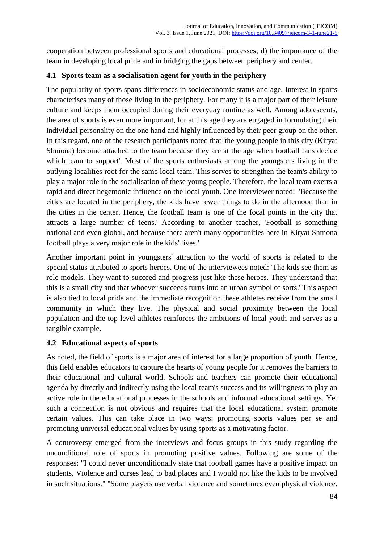cooperation between professional sports and educational processes; d) the importance of the team in developing local pride and in bridging the gaps between periphery and center.

#### **4.1 Sports team as a socialisation agent for youth in the periphery**

The popularity of sports spans differences in socioeconomic status and age. Interest in sports characterises many of those living in the periphery. For many it is a major part of their leisure culture and keeps them occupied during their everyday routine as well. Among adolescents, the area of sports is even more important, for at this age they are engaged in formulating their individual personality on the one hand and highly influenced by their peer group on the other. In this regard, one of the research participants noted that 'the young people in this city (Kiryat Shmona) become attached to the team because they are at the age when football fans decide which team to support'. Most of the sports enthusiasts among the youngsters living in the outlying localities root for the same local team. This serves to strengthen the team's ability to play a major role in the socialisation of these young people. Therefore, the local team exerts a rapid and direct hegemonic influence on the local youth. One interviewer noted: 'Because the cities are located in the periphery, the kids have fewer things to do in the afternoon than in the cities in the center. Hence, the football team is one of the focal points in the city that attracts a large number of teens.' According to another teacher, 'Football is something national and even global, and because there aren't many opportunities here in Kiryat Shmona football plays a very major role in the kids' lives.'

Another important point in youngsters' attraction to the world of sports is related to the special status attributed to sports heroes. One of the interviewees noted: 'The kids see them as role models. They want to succeed and progress just like these heroes. They understand that this is a small city and that whoever succeeds turns into an urban symbol of sorts.' This aspect is also tied to local pride and the immediate recognition these athletes receive from the small community in which they live. The physical and social proximity between the local population and the top-level athletes reinforces the ambitions of local youth and serves as a tangible example.

## **4.2 Educational aspects of sports**

As noted, the field of sports is a major area of interest for a large proportion of youth. Hence, this field enables educators to capture the hearts of young people for it removes the barriers to their educational and cultural world. Schools and teachers can promote their educational agenda by directly and indirectly using the local team's success and its willingness to play an active role in the educational processes in the schools and informal educational settings. Yet such a connection is not obvious and requires that the local educational system promote certain values. This can take place in two ways: promoting sports values per se and promoting universal educational values by using sports as a motivating factor.

A controversy emerged from the interviews and focus groups in this study regarding the unconditional role of sports in promoting positive values. Following are some of the responses: "I could never unconditionally state that football games have a positive impact on students. Violence and curses lead to bad places and I would not like the kids to be involved in such situations." "Some players use verbal violence and sometimes even physical violence.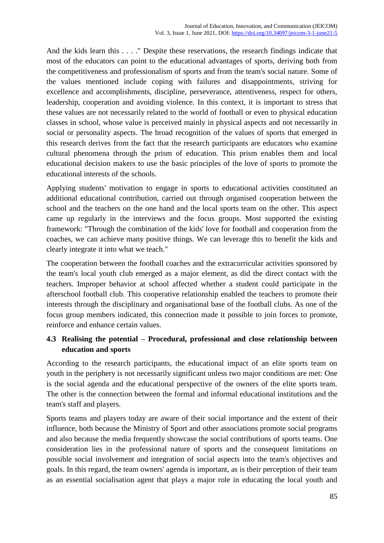And the kids learn this . . . ." Despite these reservations, the research findings indicate that most of the educators can point to the educational advantages of sports, deriving both from the competitiveness and professionalism of sports and from the team's social nature. Some of the values mentioned include coping with failures and disappointments, striving for excellence and accomplishments, discipline, perseverance, attentiveness, respect for others, leadership, cooperation and avoiding violence. In this context, it is important to stress that these values are not necessarily related to the world of football or even to physical education classes in school, whose value is perceived mainly in physical aspects and not necessarily in social or personality aspects. The broad recognition of the values of sports that emerged in this research derives from the fact that the research participants are educators who examine cultural phenomena through the prism of education. This prism enables them and local educational decision makers to use the basic principles of the love of sports to promote the educational interests of the schools.

Applying students' motivation to engage in sports to educational activities constituted an additional educational contribution, carried out through organised cooperation between the school and the teachers on the one hand and the local sports team on the other. This aspect came up regularly in the interviews and the focus groups. Most supported the existing framework: "Through the combination of the kids' love for football and cooperation from the coaches, we can achieve many positive things. We can leverage this to benefit the kids and clearly integrate it into what we teach."

The cooperation between the football coaches and the extracurricular activities sponsored by the team's local youth club emerged as a major element, as did the direct contact with the teachers. Improper behavior at school affected whether a student could participate in the afterschool football club. This cooperative relationship enabled the teachers to promote their interests through the disciplinary and organisational base of the football clubs. As one of the focus group members indicated, this connection made it possible to join forces to promote, reinforce and enhance certain values.

# **4.3 Realising the potential – Procedural, professional and close relationship between education and sports**

According to the research participants, the educational impact of an elite sports team on youth in the periphery is not necessarily significant unless two major conditions are met: One is the social agenda and the educational perspective of the owners of the elite sports team. The other is the connection between the formal and informal educational institutions and the team's staff and players.

Sports teams and players today are aware of their social importance and the extent of their influence, both because the Ministry of Sport and other associations promote social programs and also because the media frequently showcase the social contributions of sports teams. One consideration lies in the professional nature of sports and the consequent limitations on possible social involvement and integration of social aspects into the team's objectives and goals. In this regard, the team owners' agenda is important, as is their perception of their team as an essential socialisation agent that plays a major role in educating the local youth and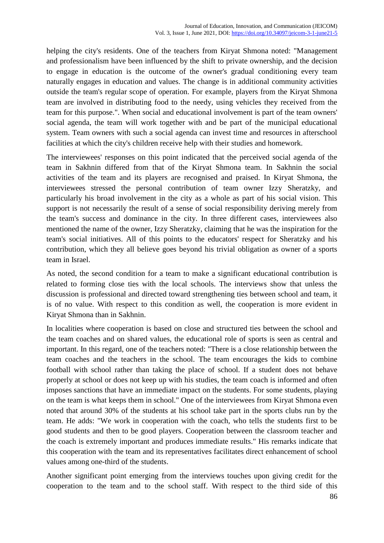helping the city's residents. One of the teachers from Kiryat Shmona noted: "Management and professionalism have been influenced by the shift to private ownership, and the decision to engage in education is the outcome of the owner's gradual conditioning every team naturally engages in education and values. The change is in additional community activities outside the team's regular scope of operation. For example, players from the Kiryat Shmona team are involved in distributing food to the needy, using vehicles they received from the team for this purpose.". When social and educational involvement is part of the team owners' social agenda, the team will work together with and be part of the municipal educational system. Team owners with such a social agenda can invest time and resources in afterschool facilities at which the city's children receive help with their studies and homework.

The interviewees' responses on this point indicated that the perceived social agenda of the team in Sakhnin differed from that of the Kiryat Shmona team. In Sakhnin the social activities of the team and its players are recognised and praised. In Kiryat Shmona, the interviewees stressed the personal contribution of team owner Izzy Sheratzky, and particularly his broad involvement in the city as a whole as part of his social vision. This support is not necessarily the result of a sense of social responsibility deriving merely from the team's success and dominance in the city. In three different cases, interviewees also mentioned the name of the owner, Izzy Sheratzky, claiming that he was the inspiration for the team's social initiatives. All of this points to the educators' respect for Sheratzky and his contribution, which they all believe goes beyond his trivial obligation as owner of a sports team in Israel.

As noted, the second condition for a team to make a significant educational contribution is related to forming close ties with the local schools. The interviews show that unless the discussion is professional and directed toward strengthening ties between school and team, it is of no value. With respect to this condition as well, the cooperation is more evident in Kiryat Shmona than in Sakhnin.

In localities where cooperation is based on close and structured ties between the school and the team coaches and on shared values, the educational role of sports is seen as central and important. In this regard, one of the teachers noted: "There is a close relationship between the team coaches and the teachers in the school. The team encourages the kids to combine football with school rather than taking the place of school. If a student does not behave properly at school or does not keep up with his studies, the team coach is informed and often imposes sanctions that have an immediate impact on the students. For some students, playing on the team is what keeps them in school." One of the interviewees from Kiryat Shmona even noted that around 30% of the students at his school take part in the sports clubs run by the team. He adds: "We work in cooperation with the coach, who tells the students first to be good students and then to be good players. Cooperation between the classroom teacher and the coach is extremely important and produces immediate results." His remarks indicate that this cooperation with the team and its representatives facilitates direct enhancement of school values among one-third of the students.

Another significant point emerging from the interviews touches upon giving credit for the cooperation to the team and to the school staff. With respect to the third side of this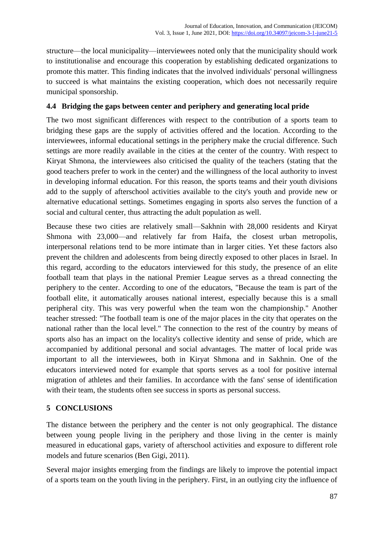structure—the local municipality—interviewees noted only that the municipality should work to institutionalise and encourage this cooperation by establishing dedicated organizations to promote this matter. This finding indicates that the involved individuals' personal willingness to succeed is what maintains the existing cooperation, which does not necessarily require municipal sponsorship.

#### **4.4 Bridging the gaps between center and periphery and generating local pride**

The two most significant differences with respect to the contribution of a sports team to bridging these gaps are the supply of activities offered and the location. According to the interviewees, informal educational settings in the periphery make the crucial difference. Such settings are more readily available in the cities at the center of the country. With respect to Kiryat Shmona, the interviewees also criticised the quality of the teachers (stating that the good teachers prefer to work in the center) and the willingness of the local authority to invest in developing informal education. For this reason, the sports teams and their youth divisions add to the supply of afterschool activities available to the city's youth and provide new or alternative educational settings. Sometimes engaging in sports also serves the function of a social and cultural center, thus attracting the adult population as well.

Because these two cities are relatively small—Sakhnin with 28,000 residents and Kiryat Shmona with 23,000—and relatively far from Haifa, the closest urban metropolis, interpersonal relations tend to be more intimate than in larger cities. Yet these factors also prevent the children and adolescents from being directly exposed to other places in Israel. In this regard, according to the educators interviewed for this study, the presence of an elite football team that plays in the national Premier League serves as a thread connecting the periphery to the center. According to one of the educators, "Because the team is part of the football elite, it automatically arouses national interest, especially because this is a small peripheral city. This was very powerful when the team won the championship." Another teacher stressed: "The football team is one of the major places in the city that operates on the national rather than the local level." The connection to the rest of the country by means of sports also has an impact on the locality's collective identity and sense of pride, which are accompanied by additional personal and social advantages. The matter of local pride was important to all the interviewees, both in Kiryat Shmona and in Sakhnin. One of the educators interviewed noted for example that sports serves as a tool for positive internal migration of athletes and their families. In accordance with the fans' sense of identification with their team, the students often see success in sports as personal success.

## **5 CONCLUSIONS**

The distance between the periphery and the center is not only geographical. The distance between young people living in the periphery and those living in the center is mainly measured in educational gaps, variety of afterschool activities and exposure to different role models and future scenarios (Ben Gigi, 2011).

Several major insights emerging from the findings are likely to improve the potential impact of a sports team on the youth living in the periphery. First, in an outlying city the influence of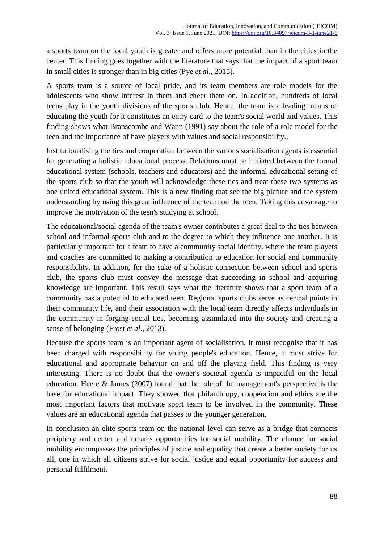a sports team on the local youth is greater and offers more potential than in the cities in the center. This finding goes together with the literature that says that the impact of a sport team in small cities is stronger than in big cities (Pye *et al*., 2015).

A sports team is a source of local pride, and its team members are role models for the adolescents who show interest in them and cheer them on. In addition, hundreds of local teens play in the youth divisions of the sports club. Hence, the team is a leading means of educating the youth for it constitutes an entry card to the team's social world and values. This finding shows what Branscombe and Wann (1991) say about the role of a role model for the teen and the importance of have players with values and social responsibility.,

Institutionalising the ties and cooperation between the various socialisation agents is essential for generating a holistic educational process. Relations must be initiated between the formal educational system (schools, teachers and educators) and the informal educational setting of the sports club so that the youth will acknowledge these ties and treat these two systems as one united educational system. This is a new finding that see the big picture and the system understanding by using this great influence of the team on the teen. Taking this advantage to improve the motivation of the teen's studying at school.

The educational/social agenda of the team's owner contributes a great deal to the ties between school and informal sports club and to the degree to which they influence one another. It is particularly important for a team to have a community social identity, where the team players and coaches are committed to making a contribution to education for social and community responsibility. In addition, for the sake of a holistic connection between school and sports club, the sports club must convey the message that succeeding in school and acquiring knowledge are important. This result says what the literature shows that a sport team of a community has a potential to educated teen. Regional sports clubs serve as central points in their community life, and their association with the local team directly affects individuals in the community in forging social ties, becoming assimilated into the society and creating a sense of belonging (Frost *et al*., 2013).

Because the sports team is an important agent of socialisation, it must recognise that it has been charged with responsibility for young people's education. Hence, it must strive for educational and appropriate behavior on and off the playing field. This finding is very interesting. There is no doubt that the owner's societal agenda is impactful on the local education. Heere & James (2007) found that the role of the management's perspective is the base for educational impact. They showed that philanthropy, cooperation and ethics are the most important factors that motivate sport team to be involved in the community. These values are an educational agenda that passes to the younger generation.

In conclusion an elite sports team on the national level can serve as a bridge that connects periphery and center and creates opportunities for social mobility. The chance for social mobility encompasses the principles of justice and equality that create a better society for us all, one in which all citizens strive for social justice and equal opportunity for success and personal fulfilment.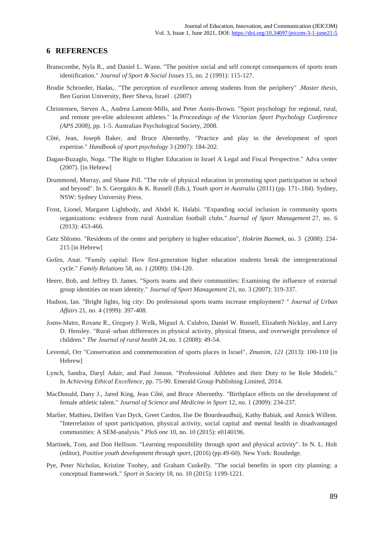#### **6 REFERENCES**

- Branscombe, Nyla R., and Daniel L. Wann. "The positive social and self concept consequences of sports team identification." *Journal of Sport & Social Issues* 15, no. 2 (1991): 115-127.
- Brodie Schroeder, Hadas,. "The perception of excellence among students from the periphery" .*Master thesis,* Ben Gurion University, Beer Sheva, Israel . (2007)
- Christensen, Steven A., Andrea Lamont-Mills, and Peter Annis-Brown. "Sport psychology for regional, rural, and remote pre-elite adolescent athletes." In *Proceedings of the Victorian Sport Psychology Conference (APS 2008)*, pp. 1-5. Australian Psychological Society, 2008.
- Côté, Jean, Joseph Baker, and Bruce Abernethy. "Practice and play in the development of sport expertise." *Handbook of sport psychology* 3 (2007): 184-202.
- Dagan-Buzaglo, Noga. "The Right to Higher Education in Israel A Legal and Fiscal Perspective." Adva center (2007). [in Hebrew]
- Drummond, Murray, and Shane Pill. "The role of physical education in promoting sport participation in school and beyond". In S. Georgakis & K. Russell (Eds.), *Youth sport in Australia* (2011) (pp. 171-.184). Sydney, NSW: Sydney University Press.
- Frost, Lionel, Margaret Lightbody, and Abdel K. Halabi. "Expanding social inclusion in community sports organizations: evidence from rural Australian football clubs." *Journal of Sport Management* 27, no. 6 (2013): 453-466.
- Getz Shlomo. "Residents of the center and periphery in higher education", *Hokrim Baemek*, no. 3 (2008): 234- 215 [in Hebrew]
- Gofen, Anat. "Family capital: How first-generation higher education students break the intergenerational cycle." *Family Relations* 58, no. 1 (2009): 104-120.
- Heere, Bob, and Jeffrey D. James. "Sports teams and their communities: Examining the influence of external group identities on team identity." *Journal of Sport Management* 21, no. 3 (2007): 319-337.
- Hudson, Ian. "Bright lights, big city: Do professional sports teams increase employment? " *Journal of Urban Affairs* 21, no. 4 (1999): 397-408.
- Joens‐Matre, Roxane R., Gregory J. Welk, Miguel A. Calabro, Daniel W. Russell, Elizabeth Nicklay, and Larry D. Hensley. "Rural–urban differences in physical activity, physical fitness, and overweight prevalence of children." *The Journal of rural health* 24, no. 1 (2008): 49-54.
- Levental, Orr "Conservation and commemoration of sports places in Israel", *Zmanim, 121* (2013): 100-110 [in Hebrew]
- Lynch, Sandra, Daryl Adair, and Paul Jonson. "Professional Athletes and their Duty to be Role Models." In *Achieving Ethical Excellence*, pp. 75-90. Emerald Group Publishing Limited, 2014.
- MacDonald, Dany J., Jared King, Jean Côté, and Bruce Abernethy. "Birthplace effects on the development of female athletic talent." *Journal of Science and Medicine in Sport* 12, no. 1 (2009): 234-237.
- Marlier, Mathieu, Delfien Van Dyck, Greet Cardon, Ilse De Bourdeaudhuij, Kathy Babiak, and Annick Willem. "Interrelation of sport participation, physical activity, social capital and mental health in disadvantaged communities: A SEM-analysis." *PloS one* 10, no. 10 (2015): e0140196.
- Martinek, Tom, and Don Hellison. "Learning responsibility through sport and physical activity". In N. L. Holt (editor), *Positive youth development through sport*, (2016) (pp.49-60). New York: Routledge.
- Pye, Peter Nicholas, Kristine Toohey, and Graham Cuskelly. "The social benefits in sport city planning: a conceptual framework." *Sport in Society* 18, no. 10 (2015): 1199-1221.